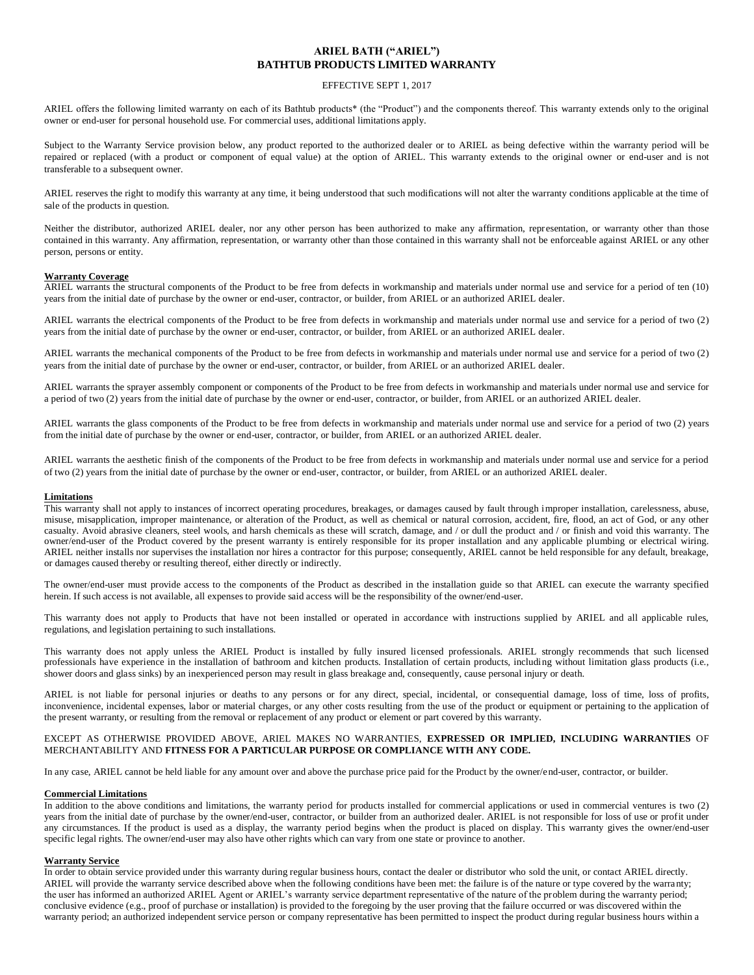# **ARIEL BATH ("ARIEL") BATHTUB PRODUCTS LIMITED WARRANTY**

## EFFECTIVE SEPT 1, 2017

ARIEL offers the following limited warranty on each of its Bathtub products\* (the "Product") and the components thereof. This warranty extends only to the original owner or end-user for personal household use. For commercial uses, additional limitations apply.

Subject to the Warranty Service provision below, any product reported to the authorized dealer or to ARIEL as being defective within the warranty period will be repaired or replaced (with a product or component of equal value) at the option of ARIEL. This warranty extends to the original owner or end-user and is not transferable to a subsequent owner.

ARIEL reserves the right to modify this warranty at any time, it being understood that such modifications will not alter the warranty conditions applicable at the time of sale of the products in question.

Neither the distributor, authorized ARIEL dealer, nor any other person has been authorized to make any affirmation, representation, or warranty other than those contained in this warranty. Any affirmation, representation, or warranty other than those contained in this warranty shall not be enforceable against ARIEL or any other person, persons or entity.

# **Warranty Coverage**

ARIEL warrants the structural components of the Product to be free from defects in workmanship and materials under normal use and service for a period of ten (10) years from the initial date of purchase by the owner or end-user, contractor, or builder, from ARIEL or an authorized ARIEL dealer.

ARIEL warrants the electrical components of the Product to be free from defects in workmanship and materials under normal use and service for a period of two (2) years from the initial date of purchase by the owner or end-user, contractor, or builder, from ARIEL or an authorized ARIEL dealer.

ARIEL warrants the mechanical components of the Product to be free from defects in workmanship and materials under normal use and service for a period of two (2) years from the initial date of purchase by the owner or end-user, contractor, or builder, from ARIEL or an authorized ARIEL dealer.

ARIEL warrants the sprayer assembly component or components of the Product to be free from defects in workmanship and materials under normal use and service for a period of two (2) years from the initial date of purchase by the owner or end-user, contractor, or builder, from ARIEL or an authorized ARIEL dealer.

ARIEL warrants the glass components of the Product to be free from defects in workmanship and materials under normal use and service for a period of two (2) years from the initial date of purchase by the owner or end-user, contractor, or builder, from ARIEL or an authorized ARIEL dealer.

ARIEL warrants the aesthetic finish of the components of the Product to be free from defects in workmanship and materials under normal use and service for a period of two (2) years from the initial date of purchase by the owner or end-user, contractor, or builder, from ARIEL or an authorized ARIEL dealer.

#### **Limitations**

This warranty shall not apply to instances of incorrect operating procedures, breakages, or damages caused by fault through improper installation, carelessness, abuse, misuse, misapplication, improper maintenance, or alteration of the Product, as well as chemical or natural corrosion, accident, fire, flood, an act of God, or any other casualty. Avoid abrasive cleaners, steel wools, and harsh chemicals as these will scratch, damage, and / or dull the product and / or finish and void this warranty. The owner/end-user of the Product covered by the present warranty is entirely responsible for its proper installation and any applicable plumbing or electrical wiring. ARIEL neither installs nor supervises the installation nor hires a contractor for this purpose; consequently, ARIEL cannot be held responsible for any default, breakage, or damages caused thereby or resulting thereof, either directly or indirectly.

The owner/end-user must provide access to the components of the Product as described in the installation guide so that ARIEL can execute the warranty specified herein. If such access is not available, all expenses to provide said access will be the responsibility of the owner/end-user.

This warranty does not apply to Products that have not been installed or operated in accordance with instructions supplied by ARIEL and all applicable rules, regulations, and legislation pertaining to such installations.

This warranty does not apply unless the ARIEL Product is installed by fully insured licensed professionals. ARIEL strongly recommends that such licensed professionals have experience in the installation of bathroom and kitchen products. Installation of certain products, including without limitation glass products (i.e., shower doors and glass sinks) by an inexperienced person may result in glass breakage and, consequently, cause personal injury or death.

ARIEL is not liable for personal injuries or deaths to any persons or for any direct, special, incidental, or consequential damage, loss of time, loss of profits, inconvenience, incidental expenses, labor or material charges, or any other costs resulting from the use of the product or equipment or pertaining to the application of the present warranty, or resulting from the removal or replacement of any product or element or part covered by this warranty.

# EXCEPT AS OTHERWISE PROVIDED ABOVE, ARIEL MAKES NO WARRANTIES, **EXPRESSED OR IMPLIED, INCLUDING WARRANTIES** OF MERCHANTABILITY AND **FITNESS FOR A PARTICULAR PURPOSE OR COMPLIANCE WITH ANY CODE.**

In any case, ARIEL cannot be held liable for any amount over and above the purchase price paid for the Product by the owner/end-user, contractor, or builder.

## **Commercial Limitations**

In addition to the above conditions and limitations, the warranty period for products installed for commercial applications or used in commercial ventures is two (2) years from the initial date of purchase by the owner/end-user, contractor, or builder from an authorized dealer. ARIEL is not responsible for loss of use or profit under any circumstances. If the product is used as a display, the warranty period begins when the product is placed on display. This warranty gives the owner/end-user specific legal rights. The owner/end-user may also have other rights which can vary from one state or province to another.

## **Warranty Service**

In order to obtain service provided under this warranty during regular business hours, contact the dealer or distributor who sold the unit, or contact ARIEL directly. ARIEL will provide the warranty service described above when the following conditions have been met: the failure is of the nature or type covered by the warra nty; the user has informed an authorized ARIEL Agent or ARIEL's warranty service department representative of the nature of the problem during the warranty period; conclusive evidence (e.g., proof of purchase or installation) is provided to the foregoing by the user proving that the failure occurred or was discovered within the warranty period; an authorized independent service person or company representative has been permitted to inspect the product during regular business hours within a